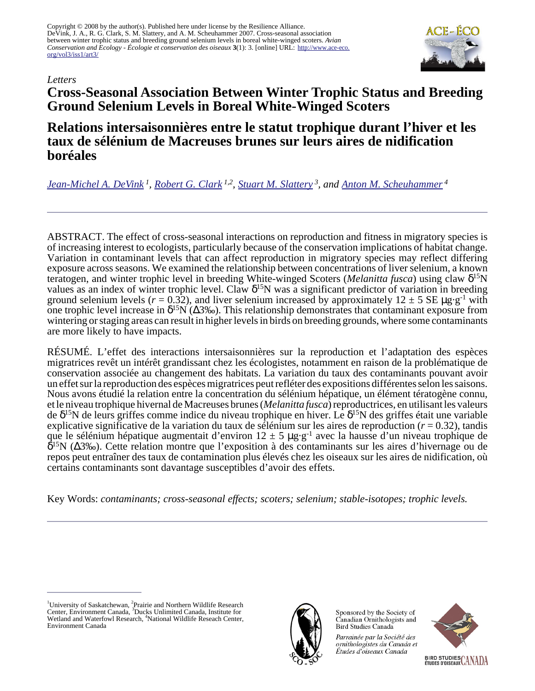Copyright © 2008 by the author(s). Published here under license by the Resilience Alliance. DeVink, J. A., R. G. Clark, S. M. Slattery, and A. M. Scheuhammer 2007. Cross-seasonal association between winter trophic status and breeding ground selenium levels in boreal white-winged scoters. *Avian Conservation and Ecology - Écologie et conservation des oiseaux* **3**(1): 3. [online] URL: [http://www.ace-eco.](http://www.ace-eco.org/vol3/iss1/art3/) [org/vol3/iss1/art3/](http://www.ace-eco.org/vol3/iss1/art3/)



#### *Letters*

# **Cross-Seasonal Association Between Winter Trophic Status and Breeding Ground Selenium Levels in Boreal White-Winged Scoters**

## **Relations intersaisonnières entre le statut trophique durant l'hiver et les taux de sélénium de Macreuses brunes sur leurs aires de nidification boréales**

*[Jean-Michel A. DeVink](mailto:jean-michel.devink@jacqueswhitford.com)<sup>1</sup> , [Robert G. Clark](mailto:bob.clark@ec.gc.ca) 1,2 , [Stuart M. Slattery](mailto:s_slattery@ducks.ca)<sup>3</sup>, and [Anton M. Scheuhammer](mailto:tony.scheuhammer@ec.gc.ca)<sup>4</sup>*

ABSTRACT. The effect of cross-seasonal interactions on reproduction and fitness in migratory species is of increasing interest to ecologists, particularly because of the conservation implications of habitat change. Variation in contaminant levels that can affect reproduction in migratory species may reflect differing exposure across seasons. We examined the relationship between concentrations of liver selenium, a known teratogen, and winter trophic level in breeding White-winged Scoters (*Melanitta fusca*) using claw δ <sup>15</sup>N values as an index of winter trophic level. Claw  $\delta^{15}N$  was a significant predictor of variation in breeding ground selenium levels ( $r = 0.32$ ), and liver selenium increased by approximately  $12 \pm 5$  SE  $\mu$ g·g<sup>-1</sup> with one trophic level increase in  $\delta^{15}N(\Delta 3\%)$ . This relationship demonstrates that contaminant exposure from wintering or staging areas can result in higher levels in birds on breeding grounds, where some contaminants are more likely to have impacts.

RÉSUMÉ. L'effet des interactions intersaisonnières sur la reproduction et l'adaptation des espèces migratrices revêt un intérêt grandissant chez les écologistes, notamment en raison de la problématique de conservation associée au changement des habitats. La variation du taux des contaminants pouvant avoir un effet sur la reproduction des espèces migratrices peut refléter des expositions différentes selon les saisons. Nous avons étudié la relation entre la concentration du sélénium hépatique, un élément tératogène connu, et le niveau trophique hivernal de Macreuses brunes (*Melanitta fusca*) reproductrices, en utilisant les valeurs de δ <sup>15</sup>N de leurs griffes comme indice du niveau trophique en hiver. Le δ <sup>15</sup>N des griffes était une variable explicative significative de la variation du taux de sélénium sur les aires de reproduction ( $r = 0.32$ ), tandis que le sélénium hépatique augmentait d'environ  $12 \pm 5 \mu g \cdot g^{-1}$  avec la hausse d'un niveau trophique de δ <sup>15</sup>N (∆3‰). Cette relation montre que l'exposition à des contaminants sur les aires d'hivernage ou de repos peut entraîner des taux de contamination plus élevés chez les oiseaux sur les aires de nidification, où certains contaminants sont davantage susceptibles d'avoir des effets.

Key Words: *contaminants; cross-seasonal effects; scoters; selenium; stable-isotopes; trophic levels.*



Sponsored by the Society of Canadian Ornithologists and Bird Studies Canada

Parrainée par la Société des ornithologistes du Canada et Études d'oiseaux Canada



<sup>&</sup>lt;sup>1</sup>University of Saskatchewan, <sup>2</sup>Prairie and Northern Wildlife Research Center, Environment Canada, <sup>3</sup>Ducks Unlimited Canada, Institute for Wetland and Waterfowl Research, <sup>4</sup>National Wildlife Reseach Center, Environment Canada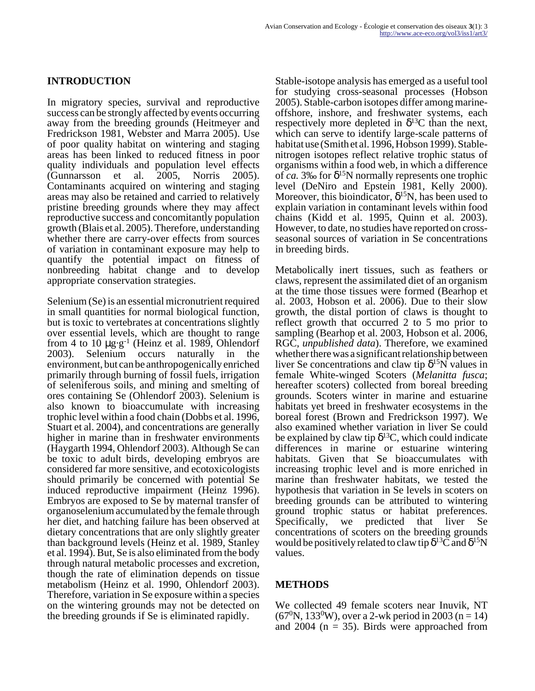## **INTRODUCTION**

In migratory species, survival and reproductive success can be strongly affected by events occurring away from the breeding grounds (Heitmeyer and Fredrickson 1981, Webster and Marra 2005). Use of poor quality habitat on wintering and staging areas has been linked to reduced fitness in poor quality individuals and population level effects (Gunnarsson et al. 2005, Norris 2005). Contaminants acquired on wintering and staging areas may also be retained and carried to relatively pristine breeding grounds where they may affect reproductive success and concomitantly population growth (Blais et al. 2005). Therefore, understanding whether there are carry-over effects from sources of variation in contaminant exposure may help to quantify the potential impact on fitness of nonbreeding habitat change and to develop appropriate conservation strategies.

Selenium (Se) is an essential micronutrient required in small quantities for normal biological function, but is toxic to vertebrates at concentrations slightly over essential levels, which are thought to range from 4 to 10  $\mu$ g·g<sup>-1</sup> (Heinz et al. 1989, Ohlendorf 2003). Selenium occurs naturally in the environment, but can be anthropogenically enriched primarily through burning of fossil fuels, irrigation of seleniferous soils, and mining and smelting of ores containing Se (Ohlendorf 2003). Selenium is also known to bioaccumulate with increasing trophic level within a food chain (Dobbs et al. 1996, Stuart et al. 2004), and concentrations are generally higher in marine than in freshwater environments (Haygarth 1994, Ohlendorf 2003). Although Se can be toxic to adult birds, developing embryos are considered far more sensitive, and ecotoxicologists should primarily be concerned with potential Se induced reproductive impairment (Heinz 1996). Embryos are exposed to Se by maternal transfer of organoselenium accumulated by the female through her diet, and hatching failure has been observed at dietary concentrations that are only slightly greater than background levels (Heinz et al. 1989, Stanley et al. 1994). But, Se is also eliminated from the body through natural metabolic processes and excretion, though the rate of elimination depends on tissue metabolism (Heinz et al. 1990, Ohlendorf 2003). Therefore, variation in Se exposure within a species on the wintering grounds may not be detected on the breeding grounds if Se is eliminated rapidly.

Stable-isotope analysis has emerged as a useful tool for studying cross-seasonal processes (Hobson 2005). Stable-carbon isotopes differ among marineoffshore, inshore, and freshwater systems, each respectively more depleted in  $\delta^{13}$ C than the next, which can serve to identify large-scale patterns of habitat use (Smith et al. 1996, Hobson 1999). Stablenitrogen isotopes reflect relative trophic status of organisms within a food web, in which a difference of *ca.* 3‰ for δ <sup>15</sup>N normally represents one trophic level (DeNiro and Epstein 1981, Kelly 2000). Moreover, this bioindicator,  $\delta^{15}N$ , has been used to explain variation in contaminant levels within food chains (Kidd et al. 1995, Quinn et al. 2003). However, to date, no studies have reported on crossseasonal sources of variation in Se concentrations in breeding birds.

Metabolically inert tissues, such as feathers or claws, represent the assimilated diet of an organism at the time those tissues were formed (Bearhop et al. 2003, Hobson et al. 2006). Due to their slow growth, the distal portion of claws is thought to reflect growth that occurred 2 to 5 mo prior to sampling (Bearhop et al. 2003, Hobson et al. 2006, RGC, *unpublished data*). Therefore, we examined whether there was a significant relationship between liver Se concentrations and claw tip  $\delta^{15}$ N values in female White-winged Scoters (*Melanitta fusca*; hereafter scoters) collected from boreal breeding grounds. Scoters winter in marine and estuarine habitats yet breed in freshwater ecosystems in the boreal forest (Brown and Fredrickson 1997). We also examined whether variation in liver Se could be explained by claw tip  $\delta^{13}C$ , which could indicate differences in marine or estuarine wintering habitats. Given that Se bioaccumulates with increasing trophic level and is more enriched in marine than freshwater habitats, we tested the hypothesis that variation in Se levels in scoters on breeding grounds can be attributed to wintering ground trophic status or habitat preferences. Specifically, we predicted that liver Se concentrations of scoters on the breeding grounds would be positively related to claw tip  $\delta^{13}$ C and  $\delta^{15}N$ values.

## **METHODS**

We collected 49 female scoters near Inuvik, NT  $(67^{\circ}N, 133^{\circ}W)$ , over a 2-wk period in 2003 (n = 14) and 2004 ( $n = 35$ ). Birds were approached from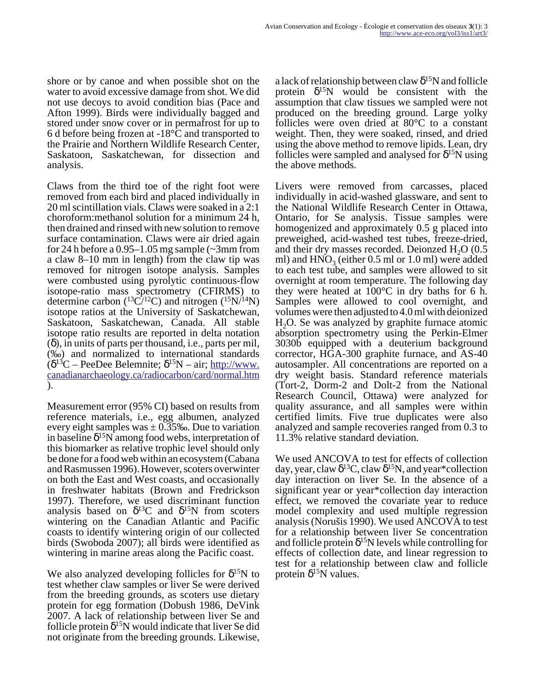shore or by canoe and when possible shot on the water to avoid excessive damage from shot. We did not use decoys to avoid condition bias (Pace and Afton 1999). Birds were individually bagged and stored under snow cover or in permafrost for up to 6 d before being frozen at -18°C and transported to the Prairie and Northern Wildlife Research Center, Saskatoon, Saskatchewan, for dissection and analysis.

Claws from the third toe of the right foot were removed from each bird and placed individually in 20 ml scintillation vials. Claws were soaked in a 2:1 choroform:methanol solution for a minimum 24 h, then drained and rinsed with new solution to remove surface contamination. Claws were air dried again for 24 h before a  $0.95-1.05$  mg sample ( $\sim$ 3mm from a claw 8–10 mm in length) from the claw tip was removed for nitrogen isotope analysis. Samples were combusted using pyrolytic continuous-flow isotope-ratio mass spectrometry (CFIRMS) to determine carbon ( ${}^{13}C/{}^{12}C$ ) and nitrogen ( ${}^{15}N/{}^{14}N$ ) isotope ratios at the University of Saskatchewan, Saskatoon, Saskatchewan, Canada. All stable isotope ratio results are reported in delta notation (δ), in units of parts per thousand, i.e., parts per mil, (‰) and normalized to international standards  $(\delta^{13}C - \text{PeeDee Belemnite}; \delta^{15}N - \text{air}; \frac{\text{http://www.}}{\text{http://www.}})$  $(\delta^{13}C - \text{PeeDee Belemnite}; \delta^{15}N - \text{air}; \frac{\text{http://www.}}{\text{http://www.}})$  $(\delta^{13}C - \text{PeeDee Belemnite}; \delta^{15}N - \text{air}; \frac{\text{http://www.}}{\text{http://www.}})$ [canadianarchaeology.ca/radiocarbon/card/normal.htm](http://www.canadianarchaeology.ca/radiocarbon/card/normal.htm) ).

Measurement error (95% CI) based on results from reference materials, i.e., egg albumen, analyzed every eight samples was  $\pm$  0.35‰. Due to variation in baseline  $\delta^{15}N$  among food webs, interpretation of this biomarker as relative trophic level should only be done for a food web within an ecosystem (Cabana and Rasmussen 1996). However, scoters overwinter on both the East and West coasts, and occasionally in freshwater habitats (Brown and Fredrickson 1997). Therefore, we used discriminant function analysis based on  $\delta^{13}C$  and  $\delta^{15}N$  from scoters wintering on the Canadian Atlantic and Pacific coasts to identify wintering origin of our collected birds (Swoboda 2007); all birds were identified as wintering in marine areas along the Pacific coast.

We also analyzed developing follicles for  $\delta^{15}N$  to test whether claw samples or liver Se were derived from the breeding grounds, as scoters use dietary protein for egg formation (Dobush 1986, DeVink 2007. A lack of relationship between liver Se and follicle protein  $\delta^{15}N$  would indicate that liver Se did not originate from the breeding grounds. Likewise,

a lack of relationship between claw  $\delta^{15}N$  and follicle protein  $\delta^{15}$ N would be consistent with the assumption that claw tissues we sampled were not produced on the breeding ground. Large yolky follicles were oven dried at 80°C to a constant weight. Then, they were soaked, rinsed, and dried using the above method to remove lipids. Lean, dry follicles were sampled and analysed for  $\delta^{15}N$  using the above methods.

Livers were removed from carcasses, placed individually in acid-washed glassware, and sent to the National Wildlife Research Center in Ottawa, Ontario, for Se analysis. Tissue samples were homogenized and approximately 0.5 g placed into preweighed, acid-washed test tubes, freeze-dried, and their dry masses recorded. Deionzed  $H<sub>2</sub>O$  (0.5) ml) and  $HNO<sub>3</sub>$  (either 0.5 ml or 1.0 ml) were added to each test tube, and samples were allowed to sit overnight at room temperature. The following day they were heated at  $100^{\circ}$ C in dry baths for 6 h. Samples were allowed to cool overnight, and volumes were then adjusted to 4.0 ml with deionized  $H<sub>2</sub>O$ . Se was analyzed by graphite furnace atomic absorption spectrometry using the Perkin-Elmer 3030b equipped with a deuterium background corrector, HGA-300 graphite furnace, and AS-40 autosampler. All concentrations are reported on a dry weight basis. Standard reference materials (Tort-2, Dorm-2 and Dolt-2 from the National Research Council, Ottawa) were analyzed for quality assurance, and all samples were within certified limits. Five true duplicates were also analyzed and sample recoveries ranged from 0.3 to 11.3% relative standard deviation.

We used ANCOVA to test for effects of collection day, year, claw  $\delta^{13}C$ , claw  $\delta^{15}N$ , and year\*collection day interaction on liver Se. In the absence of a significant year or year\*collection day interaction effect, we removed the covariate year to reduce model complexity and used multiple regression analysis (Norušis 1990). We used ANCOVA to test for a relationship between liver Se concentration and follicle protein  $\delta^{15}N$  levels while controlling for effects of collection date, and linear regression to test for a relationship between claw and follicle protein  $\delta$ <sup>15</sup>N values.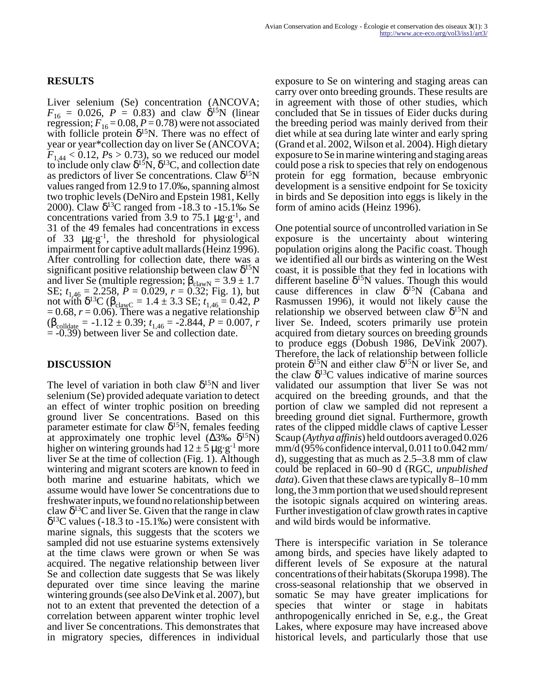Liver selenium (Se) concentration (ANCOVA;  $F_{16} = 0.026, P = 0.83$ ) and claw  $\delta^{15}$ N (linear regression;  $F_{16} = 0.08$ ,  $P = 0.78$ ) were not associated with follicle protein  $\delta^{15}N$ . There was no effect of year or year\*collection day on liver Se (ANCOVA;  $F_{1,44}$  < 0.12, *Ps* > 0.73), so we reduced our model to include only claw  $\delta^{15}N$ ,  $\delta^{13}C$ , and collection date as predictors of liver Se concentrations. Claw δ<sup>15</sup>N values ranged from 12.9 to 17.0‰, spanning almost two trophic levels (DeNiro and Epstein 1981, Kelly 2000). Claw  $\delta^{13}$ C ranged from -18.3 to -15.1‰ Se concentrations varied from 3.9 to 75.1  $\mu$ g·g<sup>-1</sup>, and 31 of the 49 females had concentrations in excess of 33  $\mu$ g·g<sup>-1</sup>, the threshold for physiological impairment for captive adult mallards (Heinz 1996). After controlling for collection date, there was a significant positive relationship between claw δ<sup>15</sup>N and liver Se (multiple regression;  $\beta_{\text{clawN}} = 3.9 \pm 1.7$ SE;  $t_{1,46} = 2.258$ ,  $P = 0.029$ ,  $r = 0.32$ ; Fig. 1), but not with  $\delta^{13}C (\beta_{\text{clawC}} = 1.4 \pm 3.3 \text{ SE}; t_{1,46} = 0.42, P$  $= 0.68$ ,  $r = 0.06$ ). There was a negative relationship  $(\beta_{\text{colldate}} = -1.12 \pm 0.39; t_{1.46} = -2.844, P = 0.007, r$  $= -0.39$ ) between liver Se and collection date.

#### **DISCUSSION**

The level of variation in both claw  $\delta^{15}N$  and liver selenium (Se) provided adequate variation to detect an effect of winter trophic position on breeding ground liver Se concentrations. Based on this parameter estimate for claw  $\delta^{15}N$ , females feeding at approximately one trophic level  $(\Delta 3\% \, \delta^{15}N)$ higher on wintering grounds had  $12 \pm 5 \,\mu g \cdot g^{-1}$  more liver Se at the time of collection (Fig. 1). Although wintering and migrant scoters are known to feed in both marine and estuarine habitats, which we assume would have lower Se concentrations due to freshwater inputs, we found no relationship between claw  $\delta^{13}$ C and liver Se. Given that the range in claw  $\delta^{13}$ C values (-18.3 to -15.1‰) were consistent with marine signals, this suggests that the scoters we sampled did not use estuarine systems extensively at the time claws were grown or when Se was acquired. The negative relationship between liver Se and collection date suggests that Se was likely depurated over time since leaving the marine wintering grounds (see also DeVink et al. 2007), but not to an extent that prevented the detection of a correlation between apparent winter trophic level and liver Se concentrations. This demonstrates that in migratory species, differences in individual

exposure to Se on wintering and staging areas can carry over onto breeding grounds. These results are in agreement with those of other studies, which concluded that Se in tissues of Eider ducks during the breeding period was mainly derived from their diet while at sea during late winter and early spring (Grand et al. 2002, Wilson et al. 2004). High dietary exposure to Se in marine wintering and staging areas could pose a risk to species that rely on endogenous protein for egg formation, because embryonic development is a sensitive endpoint for Se toxicity in birds and Se deposition into eggs is likely in the form of amino acids (Heinz 1996).

One potential source of uncontrolled variation in Se exposure is the uncertainty about wintering population origins along the Pacific coast. Though we identified all our birds as wintering on the West coast, it is possible that they fed in locations with different baseline  $\delta^{15}N$  values. Though this would cause differences in claw  $\delta^{15}N$  (Cabana and Rasmussen 1996), it would not likely cause the relationship we observed between claw  $\delta^{15}N$  and liver Se. Indeed, scoters primarily use protein acquired from dietary sources on breeding grounds to produce eggs (Dobush 1986, DeVink 2007). Therefore, the lack of relationship between follicle protein  $\delta^{15}N$  and either claw  $\delta^{15}N$  or liver Se, and the claw  $\delta^{13}$ C values indicative of marine sources validated our assumption that liver Se was not acquired on the breeding grounds, and that the portion of claw we sampled did not represent a breeding ground diet signal. Furthermore, growth rates of the clipped middle claws of captive Lesser Scaup (*Aythya affinis*) held outdoors averaged 0.026 mm/d (95% confidence interval, 0.011 to 0.042 mm/ d), suggesting that as much as 2.5–3.8 mm of claw could be replaced in 60–90 d (RGC, *unpublished data*). Given that these claws are typically 8–10 mm long, the 3 mm portion that we used should represent the isotopic signals acquired on wintering areas. Further investigation of claw growth rates in captive and wild birds would be informative.

There is interspecific variation in Se tolerance among birds, and species have likely adapted to different levels of Se exposure at the natural concentrations of their habitats (Skorupa 1998). The cross-seasonal relationship that we observed in somatic Se may have greater implications for species that winter or stage in habitats anthropogenically enriched in Se, e.g., the Great Lakes, where exposure may have increased above historical levels, and particularly those that use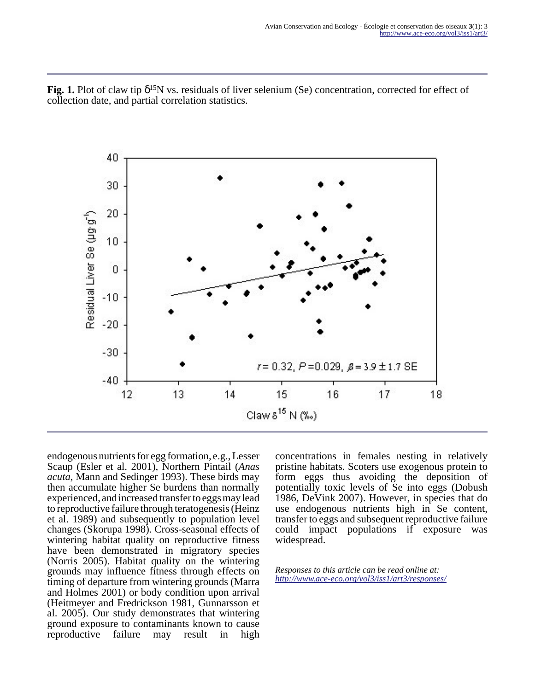Fig. 1. Plot of claw tip δ<sup>15</sup>N vs. residuals of liver selenium (Se) concentration, corrected for effect of collection date, and partial correlation statistics.



endogenous nutrients for egg formation, e.g., Lesser Scaup (Esler et al. 2001), Northern Pintail (*Anas acuta*, Mann and Sedinger 1993). These birds may then accumulate higher Se burdens than normally experienced, and increased transfer to eggs may lead to reproductive failure through teratogenesis (Heinz et al. 1989) and subsequently to population level changes (Skorupa 1998). Cross-seasonal effects of wintering habitat quality on reproductive fitness have been demonstrated in migratory species (Norris 2005). Habitat quality on the wintering grounds may influence fitness through effects on timing of departure from wintering grounds (Marra and Holmes 2001) or body condition upon arrival (Heitmeyer and Fredrickson 1981, Gunnarsson et al. 2005). Our study demonstrates that wintering ground exposure to contaminants known to cause reproductive failure may result in high

concentrations in females nesting in relatively pristine habitats. Scoters use exogenous protein to form eggs thus avoiding the deposition of potentially toxic levels of Se into eggs (Dobush 1986, DeVink 2007). However, in species that do use endogenous nutrients high in Se content, transfer to eggs and subsequent reproductive failure could impact populations if exposure was widespread.

*Responses to this article can be read online at: <http://www.ace-eco.org/vol3/iss1/art3/responses/>*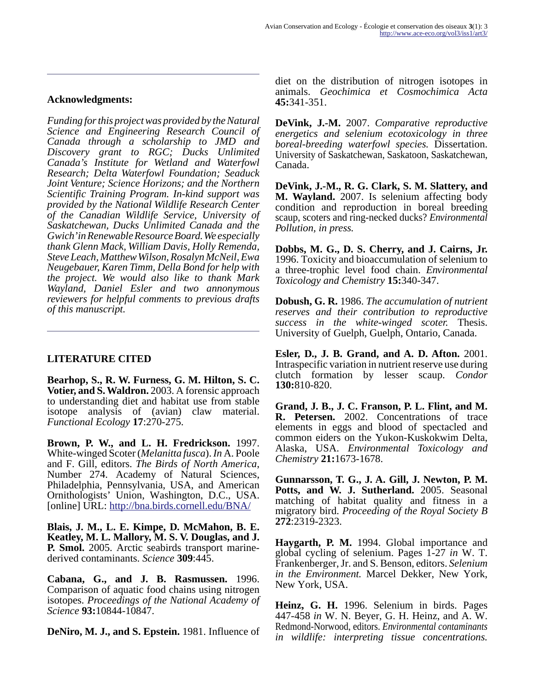#### **Acknowledgments:**

*Funding for this project was provided by the Natural Science and Engineering Research Council of Canada through a scholarship to JMD and Discovery grant to RGC; Ducks Unlimited Canada's Institute for Wetland and Waterfowl Research; Delta Waterfowl Foundation; Seaduck Joint Venture; Science Horizons; and the Northern Scientific Training Program. In-kind support was provided by the National Wildlife Research Center of the Canadian Wildlife Service, University of Saskatchewan, Ducks Unlimited Canada and the Gwich'in Renewable Resource Board. We especially thank Glenn Mack, William Davis, Holly Remenda, Steve Leach, Matthew Wilson, Rosalyn McNeil, Ewa Neugebauer, Karen Timm, Della Bond for help with the project. We would also like to thank Mark Wayland, Daniel Esler and two annonymous reviewers for helpful comments to previous drafts of this manuscript.* 

### **LITERATURE CITED**

**Bearhop, S., R. W. Furness, G. M. Hilton, S. C. Votier, and S. Waldron.** 2003. A forensic approach to understanding diet and habitat use from stable isotope analysis of (avian) claw material. *Functional Ecology* **17**:270-275.

**Brown, P. W., and L. H. Fredrickson.** 1997. White-winged Scoter (*Melanitta fusca*). *In* A. Poole and F. Gill, editors. *The Birds of North America*, Number 274. Academy of Natural Sciences, Philadelphia, Pennsylvania, USA, and American Ornithologists' Union, Washington, D.C., USA. [online] URL:<http://bna.birds.cornell.edu/BNA/>

**Blais, J. M., L. E. Kimpe, D. McMahon, B. E. Keatley, M. L. Mallory, M. S. V. Douglas, and J. P. Smol.** 2005. Arctic seabirds transport marinederived contaminants. *Science* **309**:445.

**Cabana, G., and J. B. Rasmussen.** 1996. Comparison of aquatic food chains using nitrogen isotopes. *Proceedings of the National Academy of Science* **93:**10844-10847.

**DeNiro, M. J., and S. Epstein.** 1981. Influence of

diet on the distribution of nitrogen isotopes in animals. *Geochimica et Cosmochimica Acta* **45:**341-351.

**DeVink, J.-M.** 2007. *Comparative reproductive energetics and selenium ecotoxicology in three boreal-breeding waterfowl species.* Dissertation. University of Saskatchewan, Saskatoon, Saskatchewan, Canada.

**DeVink, J.-M., R. G. Clark, S. M. Slattery, and M. Wayland.** 2007. Is selenium affecting body condition and reproduction in boreal breeding scaup, scoters and ring-necked ducks? *Environmental Pollution, in press.*

**Dobbs, M. G., D. S. Cherry, and J. Cairns, Jr.** 1996. Toxicity and bioaccumulation of selenium to a three-trophic level food chain. *Environmental Toxicology and Chemistry* **15:**340-347.

**Dobush, G. R.** 1986. *The accumulation of nutrient reserves and their contribution to reproductive success in the white-winged scoter.* Thesis. University of Guelph, Guelph, Ontario, Canada.

**Esler, D., J. B. Grand, and A. D. Afton.** 2001. Intraspecific variation in nutrient reserve use during clutch formation by lesser scaup. *Condor* **130:**810-820.

**Grand, J. B., J. C. Franson, P. L. Flint, and M. R. Petersen.** 2002. Concentrations of trace elements in eggs and blood of spectacled and common eiders on the Yukon-Kuskokwim Delta, Alaska, USA. *Environmental Toxicology and Chemistry* **21:**1673-1678.

**Gunnarsson, T. G., J. A. Gill, J. Newton, P. M.** Potts, and W. J. Sutherland. 2005. Seasonal matching of habitat quality and fitness in a migratory bird. *Proceeding of the Royal Society B* **272**:2319-2323.

**Haygarth, P. M.** 1994. Global importance and global cycling of selenium. Pages 1-27 *in* W. T. Frankenberger, Jr. and S. Benson, editors. *Selenium in the Environment.* Marcel Dekker, New York, New York, USA.

**Heinz, G. H.** 1996. Selenium in birds. Pages 447-458 *in* W. N. Beyer, G. H. Heinz, and A. W. Redmond-Norwood, editors. *Environmental contaminants in wildlife: interpreting tissue concentrations.*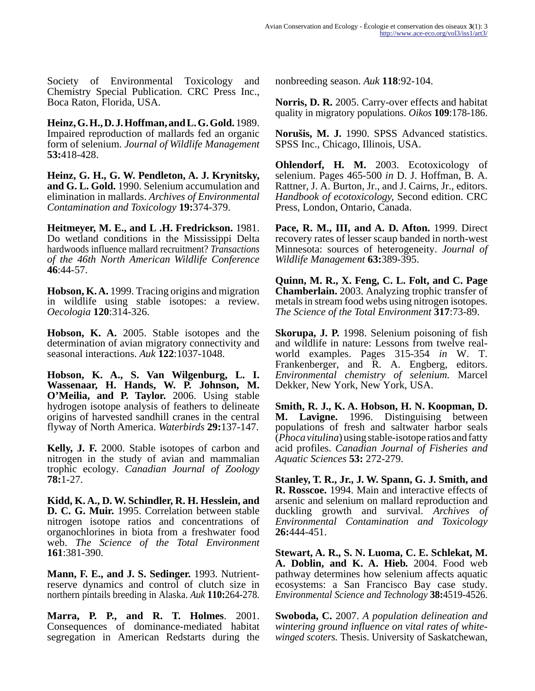Society of Environmental Toxicology and Chemistry Special Publication. CRC Press Inc., Boca Raton, Florida, USA.

**Heinz, G. H., D. J. Hoffman, and L. G. Gold.** 1989. Impaired reproduction of mallards fed an organic form of selenium. *Journal of Wildlife Management* **53:**418-428.

**Heinz, G. H., G. W. Pendleton, A. J. Krynitsky, and G. L. Gold.** 1990. Selenium accumulation and elimination in mallards. *Archives of Environmental Contamination and Toxicology* **19:**374-379.

**Heitmeyer, M. E., and L .H. Fredrickson.** 1981. Do wetland conditions in the Mississippi Delta hardwoods influence mallard recruitment? *Transactions of the 46th North American Wildlife Conference* **46**:44-57.

**Hobson, K. A.** 1999. Tracing origins and migration in wildlife using stable isotopes: a review. *Oecologia* **120**:314-326.

**Hobson, K. A.** 2005. Stable isotopes and the determination of avian migratory connectivity and seasonal interactions. *Auk* **122**:1037-1048.

**Hobson, K. A., S. Van Wilgenburg, L. I. Wassenaar, H. Hands, W. P. Johnson, M. O'Meilia, and P. Taylor.** 2006. Using stable hydrogen isotope analysis of feathers to delineate origins of harvested sandhill cranes in the central flyway of North America. *Waterbirds* **29:**137-147.

**Kelly, J. F.** 2000. Stable isotopes of carbon and nitrogen in the study of avian and mammalian trophic ecology. *Canadian Journal of Zoology* **78:**1-27.

**Kidd, K. A., D. W. Schindler, R. H. Hesslein, and D. C. G. Muir.** 1995. Correlation between stable nitrogen isotope ratios and concentrations of organochlorines in biota from a freshwater food web. *The Science of the Total Environment* **161**:381-390.

**Mann, F. E., and J. S. Sedinger.** 1993. Nutrientreserve dynamics and control of clutch size in northern pintails breeding in Alaska. *Auk* **110:**264-278.

**Marra, P. P., and R. T. Holmes**. 2001. Consequences of dominance-mediated habitat segregation in American Redstarts during the nonbreeding season. *Auk* **118**:92-104.

**Norris, D. R.** 2005. Carry-over effects and habitat quality in migratory populations. *Oikos* **109**:178-186.

**Norušis, M. J.** 1990. SPSS Advanced statistics. SPSS Inc., Chicago, Illinois, USA.

**Ohlendorf, H. M.** 2003. Ecotoxicology of selenium. Pages 465-500 *in* D. J. Hoffman, B. A. Rattner, J. A. Burton, Jr., and J. Cairns, Jr., editors. *Handbook of ecotoxicology,* Second edition. CRC Press, London, Ontario, Canada.

**Pace, R. M., III, and A. D. Afton.** 1999. Direct recovery rates of lesser scaup banded in north-west Minnesota: sources of heterogeneity. *Journal of Wildlife Management* **63:**389-395.

**Quinn, M. R., X. Feng, C. L. Folt, and C. Page Chamberlain.** 2003. Analyzing trophic transfer of metals in stream food webs using nitrogen isotopes. *The Science of the Total Environment* **317**:73-89.

**Skorupa, J. P.** 1998. Selenium poisoning of fish and wildlife in nature: Lessons from twelve realworld examples. Pages 315-354 *in* W. T. Frankenberger, and R. A. Engberg, editors. *Environmental chemistry of selenium.* Marcel Dekker, New York, New York, USA.

**Smith, R. J., K. A. Hobson, H. N. Koopman, D. M. Lavigne.** 1996. Distinguising between populations of fresh and saltwater harbor seals (*Phoca vitulina*) using stable-isotope ratios and fatty acid profiles. *Canadian Journal of Fisheries and Aquatic Sciences* **53:** 272-279.

**Stanley, T. R., Jr., J. W. Spann, G. J. Smith, and R. Rosscoe.** 1994. Main and interactive effects of arsenic and selenium on mallard reproduction and duckling growth and survival. *Archives of Environmental Contamination and Toxicology* **26:**444-451.

**Stewart, A. R., S. N. Luoma, C. E. Schlekat, M. A. Doblin, and K. A. Hieb.** 2004. Food web pathway determines how selenium affects aquatic ecosystems: a San Francisco Bay case study. *Environmental Science and Technology* **38:**4519-4526.

**Swoboda, C.** 2007. *A population delineation and wintering ground influence on vital rates of whitewinged scoters.* Thesis. University of Saskatchewan,